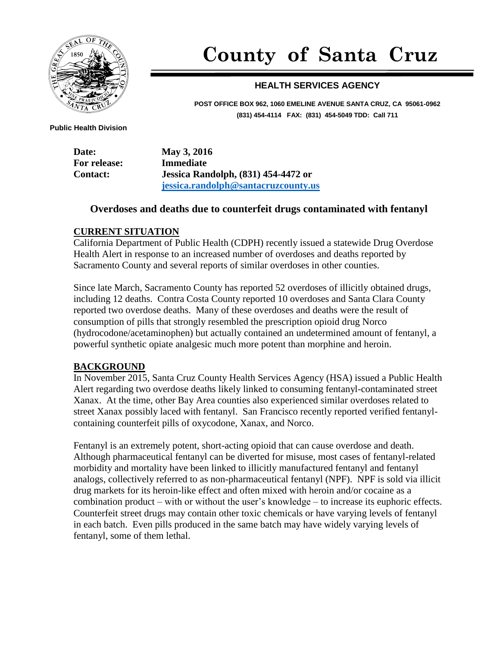

# **County of Santa Cruz**

## **HEALTH SERVICES AGENCY**

**POST OFFICE BOX 962, 1060 EMELINE AVENUE SANTA CRUZ, CA 95061-0962 (831) 454-4114 FAX: (831) 454-5049 TDD: Call 711**

 **Public Health Division**

**Date: May 3, 2016 For release: Immediate Contact: Jessica Randolph, (831) 454-4472 or [jessica.randolph@santacruzcounty.us](mailto:jessica.randolph@santacruzcounty.us)**

## **Overdoses and deaths due to counterfeit drugs contaminated with fentanyl**

### **CURRENT SITUATION**

California Department of Public Health (CDPH) recently issued a statewide Drug Overdose Health Alert in response to an increased number of overdoses and deaths reported by Sacramento County and several reports of similar overdoses in other counties.

Since late March, Sacramento County has reported 52 overdoses of illicitly obtained drugs, including 12 deaths. Contra Costa County reported 10 overdoses and Santa Clara County reported two overdose deaths. Many of these overdoses and deaths were the result of consumption of pills that strongly resembled the prescription opioid drug Norco (hydrocodone/acetaminophen) but actually contained an undetermined amount of fentanyl, a powerful synthetic opiate analgesic much more potent than morphine and heroin.

### **BACKGROUND**

In November 2015, Santa Cruz County Health Services Agency (HSA) issued a Public Health Alert regarding two overdose deaths likely linked to consuming fentanyl-contaminated street Xanax. At the time, other Bay Area counties also experienced similar overdoses related to street Xanax possibly laced with fentanyl. San Francisco recently reported verified fentanylcontaining counterfeit pills of oxycodone, Xanax, and Norco.

Fentanyl is an extremely potent, short-acting opioid that can cause overdose and death. Although pharmaceutical fentanyl can be diverted for misuse, most cases of fentanyl-related morbidity and mortality have been linked to illicitly manufactured fentanyl and fentanyl analogs, collectively referred to as non-pharmaceutical fentanyl (NPF). NPF is sold via illicit drug markets for its heroin-like effect and often mixed with heroin and/or cocaine as a combination product – with or without the user's knowledge – to increase its euphoric effects. Counterfeit street drugs may contain other toxic chemicals or have varying levels of fentanyl in each batch. Even pills produced in the same batch may have widely varying levels of fentanyl, some of them lethal.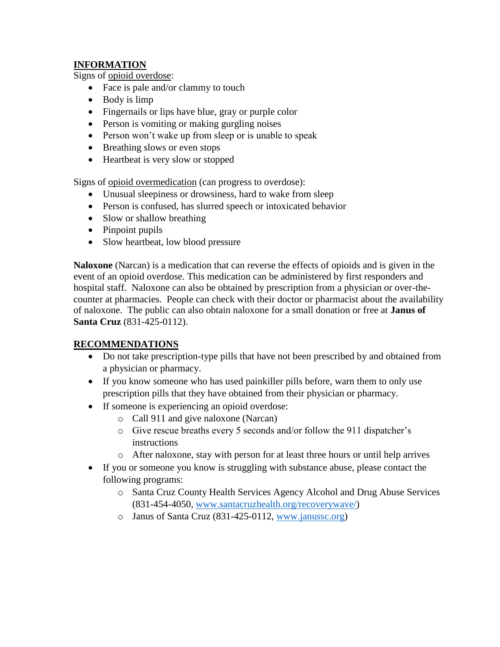## **INFORMATION**

Signs of opioid overdose:

- Face is pale and/or clammy to touch
- Body is limp
- Fingernails or lips have blue, gray or purple color
- Person is vomiting or making gurgling noises
- Person won't wake up from sleep or is unable to speak
- Breathing slows or even stops
- Heartbeat is very slow or stopped

Signs of opioid overmedication (can progress to overdose):

- Unusual sleepiness or drowsiness, hard to wake from sleep
- Person is confused, has slurred speech or intoxicated behavior
- Slow or shallow breathing
- Pinpoint pupils
- Slow heartbeat, low blood pressure

**Naloxone** (Narcan) is a medication that can reverse the effects of opioids and is given in the event of an opioid overdose. This medication can be administered by first responders and hospital staff. Naloxone can also be obtained by prescription from a physician or over-thecounter at pharmacies. People can check with their doctor or pharmacist about the availability of naloxone. The public can also obtain naloxone for a small donation or free at **Janus of Santa Cruz** (831-425-0112).

## **RECOMMENDATIONS**

- Do not take prescription-type pills that have not been prescribed by and obtained from a physician or pharmacy.
- If you know someone who has used painkiller pills before, warn them to only use prescription pills that they have obtained from their physician or pharmacy.
- If someone is experiencing an opioid overdose:
	- o Call 911 and give naloxone (Narcan)
	- o Give rescue breaths every 5 seconds and/or follow the 911 dispatcher's instructions
	- o After naloxone, stay with person for at least three hours or until help arrives
- If you or someone you know is struggling with substance abuse, please contact the following programs:
	- o Santa Cruz County Health Services Agency Alcohol and Drug Abuse Services (831-454-4050, [www.santacruzhealth.org/recoverywave/\)](http://www.santacruzhealth.org/recoverywave/)
	- o Janus of Santa Cruz (831-425-0112, [www.janussc.org\)](http://www.janussc.org/)